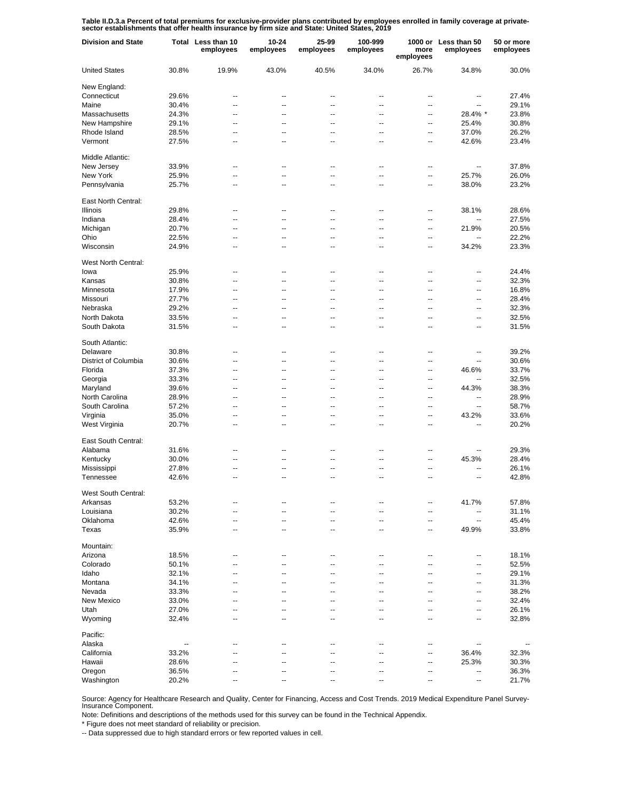Table II.D.3.a Percent of total premiums for exclusive-provider plans contributed by employees enrolled in family coverage at private-<br>sector establishments that offer health insurance by firm size and State: United States

| <b>Division and State</b> |                | Total Less than 10<br>employees | 10-24<br>employees | 25-99<br>employees | 100-999<br>employees     | more<br>employees        | 1000 or Less than 50<br>employees | 50 or more<br>employees |
|---------------------------|----------------|---------------------------------|--------------------|--------------------|--------------------------|--------------------------|-----------------------------------|-------------------------|
| <b>United States</b>      | 30.8%          | 19.9%                           | 43.0%              | 40.5%              | 34.0%                    | 26.7%                    | 34.8%                             | 30.0%                   |
| New England:              |                |                                 |                    |                    |                          |                          |                                   |                         |
| Connecticut               | 29.6%          | --                              | ٠.                 |                    |                          | --                       | --                                | 27.4%                   |
| Maine                     | 30.4%          | --                              | --                 | Ξ.                 | ٠.                       | $\overline{a}$           | --                                | 29.1%                   |
| Massachusetts             | 24.3%          | --                              | ٠.                 | ц.                 | --                       | $\overline{a}$           | 28.4% *                           | 23.8%                   |
| New Hampshire             | 29.1%          | --                              | --                 | --                 | ٠.                       | $\overline{\phantom{a}}$ | 25.4%                             | 30.8%                   |
| Rhode Island              | 28.5%          | --                              | --                 | $\overline{a}$     | ٠.                       | --                       | 37.0%                             | 26.2%                   |
| Vermont                   | 27.5%          | --                              | --                 | ٠.                 | ٠.                       | --                       | 42.6%                             | 23.4%                   |
| Middle Atlantic:          |                |                                 |                    |                    |                          |                          |                                   |                         |
| New Jersey                | 33.9%          | --                              | --                 | --                 | --                       | --                       | $\overline{\phantom{a}}$          | 37.8%                   |
| New York                  | 25.9%          | $\overline{a}$                  | --                 | $\overline{a}$     | $\overline{a}$           | $\overline{\phantom{a}}$ | 25.7%                             | 26.0%                   |
| Pennsylvania              | 25.7%          | ۵.                              | --                 | $\overline{a}$     | $\overline{a}$           | $\overline{a}$           | 38.0%                             | 23.2%                   |
| East North Central:       |                |                                 |                    |                    |                          |                          |                                   |                         |
| Illinois                  | 29.8%          | --                              | --                 | --                 | $\overline{\phantom{a}}$ | $\overline{\phantom{a}}$ | 38.1%                             | 28.6%                   |
| Indiana                   | 28.4%          | $\overline{\phantom{a}}$        | $\overline{a}$     | --                 | --                       | $\overline{\phantom{a}}$ | Ξ.                                | 27.5%                   |
| Michigan                  | 20.7%          | $\overline{a}$                  | --                 | --                 | --                       | $\overline{\phantom{a}}$ | 21.9%                             | 20.5%                   |
| Ohio                      | 22.5%          | $\overline{\phantom{a}}$        | $\overline{a}$     | --                 | $\overline{\phantom{a}}$ | $\overline{\phantom{a}}$ | Ξ.                                | 22.2%                   |
| Wisconsin                 | 24.9%          | $\overline{a}$                  | --                 | --                 | $\overline{\phantom{a}}$ | $\overline{\phantom{a}}$ | 34.2%                             | 23.3%                   |
|                           |                |                                 |                    |                    |                          |                          |                                   |                         |
| West North Central:       |                |                                 |                    |                    |                          |                          |                                   |                         |
| lowa                      | 25.9%          | --                              | --                 | ٠.                 | ٠.                       | --                       | --                                | 24.4%                   |
| Kansas                    | 30.8%          | --                              | ٠.                 | $\overline{a}$     | ٠.                       | --                       | --                                | 32.3%                   |
| Minnesota                 | 17.9%          | --                              | --                 | ٠.                 | ٠.                       | --                       | --                                | 16.8%                   |
| Missouri                  | 27.7%          | --                              | --                 | --                 | ٠.                       | $\overline{a}$           | --                                | 28.4%                   |
| Nebraska                  | 29.2%          | --                              | --                 | ц.                 | ٠.                       | --                       | --                                | 32.3%                   |
| North Dakota              | 33.5%          | --                              | --                 | --                 | ٠.                       | $\overline{a}$           | --                                | 32.5%                   |
| South Dakota              | 31.5%          | $\overline{a}$                  | ٠.                 | ц.                 | ٠.                       | --                       | --                                | 31.5%                   |
| South Atlantic:           |                |                                 |                    |                    |                          |                          |                                   |                         |
| Delaware                  | 30.8%          | --                              | --                 | --                 | --                       | --                       | --                                | 39.2%                   |
| District of Columbia      | 30.6%          | ۵.                              | $\overline{a}$     | --                 | $\overline{a}$           | $\overline{a}$           | Ξ.                                | 30.6%                   |
| Florida                   | 37.3%          | --                              | --                 | $\overline{a}$     | $\overline{a}$           | $\overline{a}$           | 46.6%                             | 33.7%                   |
| Georgia                   | 33.3%          | ۵.                              | $\overline{a}$     | $\overline{a}$     | $\overline{a}$           | $\overline{a}$           | Ξ.                                | 32.5%                   |
| Maryland                  | 39.6%          | --                              | --                 | $\overline{a}$     | $\overline{a}$           | $\overline{a}$           | 44.3%                             | 38.3%                   |
| North Carolina            | 28.9%          | ۵.                              | $\overline{a}$     | $\overline{a}$     | $\overline{a}$           | $\overline{a}$           | $\overline{a}$                    | 28.9%                   |
|                           | 57.2%          | --                              | --                 | $\overline{a}$     | $\overline{a}$           | $\overline{a}$           | $\overline{\phantom{a}}$          | 58.7%                   |
| South Carolina            |                |                                 |                    |                    |                          |                          |                                   |                         |
| Virginia                  | 35.0%          | ۵.                              | --                 | $\overline{a}$     | $\overline{a}$           | $\overline{a}$           | 43.2%                             | 33.6%                   |
| West Virginia             | 20.7%          | --                              | --                 | $\overline{a}$     | $\overline{a}$           | $\overline{a}$           | $\overline{a}$                    | 20.2%                   |
| East South Central:       |                |                                 |                    |                    |                          |                          |                                   |                         |
| Alabama                   | 31.6%          | $\sim$                          | --                 | --                 | $\overline{\phantom{a}}$ | $\overline{\phantom{a}}$ | --                                | 29.3%                   |
| Kentucky                  | 30.0%          | --                              | --                 | --                 | --                       | $\overline{\phantom{a}}$ | 45.3%                             | 28.4%                   |
| Mississippi               | 27.8%          | $\overline{\phantom{a}}$        | --                 | --                 | --                       | $\overline{\phantom{a}}$ | $-1$                              | 26.1%                   |
| Tennessee                 | 42.6%          | $\overline{a}$                  | --                 | --                 | --                       | $\overline{\phantom{a}}$ | $\overline{\phantom{a}}$          | 42.8%                   |
| West South Central:       |                |                                 |                    |                    |                          |                          |                                   |                         |
| Arkansas                  | 53.2%          |                                 |                    |                    |                          |                          | 41.7%                             | 57.8%                   |
| Louisiana                 | 30.2%          | Ξ.                              | ٠.                 | $\overline{a}$     |                          | --                       | --                                | 31.1%                   |
| Oklahoma                  | 42.6%          | --                              | ц,                 |                    |                          | --                       | --                                | 45.4%                   |
| Texas                     | 35.9%          | --                              | ٠.                 | $\overline{a}$     | ٠.                       | --                       | 49.9%                             | 33.8%                   |
| Mountain:                 |                |                                 |                    |                    |                          |                          |                                   |                         |
| Arizona                   | 18.5%          | --                              |                    |                    |                          | --                       | --                                | 18.1%                   |
| Colorado                  |                | $\overline{a}$                  | $\overline{a}$     | $\overline{a}$     | --                       | $\overline{a}$           | --                                |                         |
| Idaho                     | 50.1%<br>32.1% | ц,                              | --                 |                    |                          | --                       | --                                | 52.5%<br>29.1%          |
|                           |                |                                 |                    |                    |                          |                          |                                   |                         |
| Montana                   | 34.1%          | $\overline{a}$                  | --                 | --                 | --                       | --                       | --                                | 31.3%                   |
| Nevada                    | 33.3%          | $\overline{a}$                  | ۵.                 |                    |                          | --                       | $\overline{a}$                    | 38.2%                   |
| New Mexico                | 33.0%          | ц,                              | --                 |                    | --                       | --                       | --                                | 32.4%                   |
| Utah                      | 27.0%          | $\overline{a}$                  | --                 |                    | --                       | --                       | --                                | 26.1%                   |
| Wyoming                   | 32.4%          | $\overline{a}$                  | --                 | $\overline{a}$     | --                       | --                       | $\overline{a}$                    | 32.8%                   |
| Pacific:                  |                |                                 |                    |                    |                          |                          |                                   |                         |
| Alaska                    | --             | $\overline{\phantom{a}}$        | --                 | --                 | --                       | $\overline{\phantom{a}}$ | $\overline{\phantom{a}}$          |                         |
| California                | 33.2%          | --                              | --                 | --                 | --                       | $\overline{\phantom{a}}$ | 36.4%                             | 32.3%                   |
| Hawaii                    | 28.6%          | $\overline{a}$                  | --                 | --                 | --                       | $\overline{\phantom{a}}$ | 25.3%                             | 30.3%                   |
| Oregon                    | 36.5%          | --                              | --                 | --                 | $-$                      | $\overline{\phantom{a}}$ | $\overline{a}$                    | 36.3%                   |
| Washington                | 20.2%          | $\overline{a}$                  | --                 |                    |                          | $\overline{\phantom{a}}$ | --                                | 21.7%                   |

Source: Agency for Healthcare Research and Quality, Center for Financing, Access and Cost Trends. 2019 Medical Expenditure Panel Survey-Insurance Component.

Note: Definitions and descriptions of the methods used for this survey can be found in the Technical Appendix.

\* Figure does not meet standard of reliability or precision.

-- Data suppressed due to high standard errors or few reported values in cell.